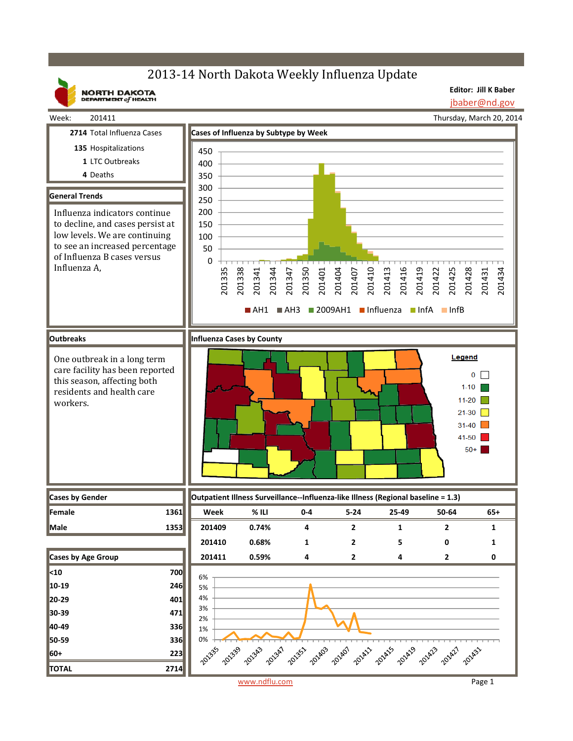# 2013-14 North Dakota Weekly Influenza Update

**NORTH DAKOTA**<br>DEPARTMENT of HEALTH

**Editor: Jill K Baber** jbaber@nd.gov